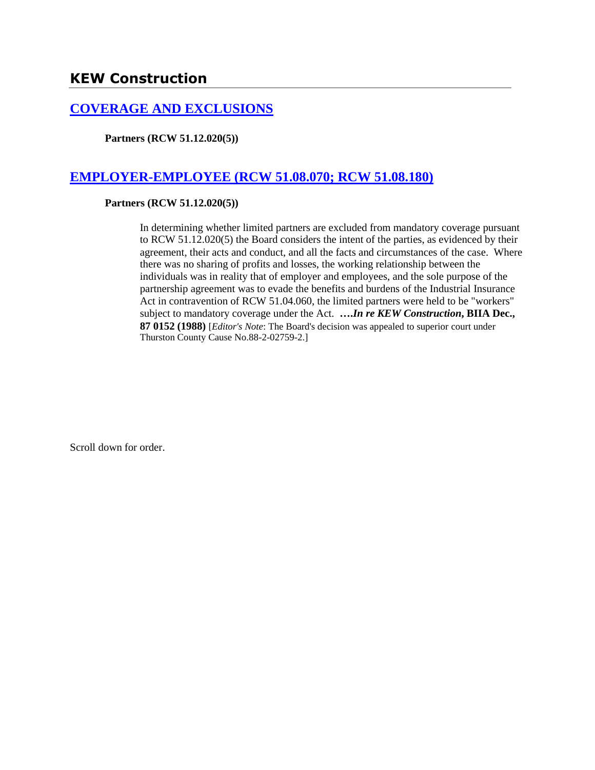### **[COVERAGE AND EXCLUSIONS](http://www.biia.wa.gov/SDSubjectIndex.html#COVERAGE_AND_EXCLUSIONS)**

**Partners (RCW 51.12.020(5))**

## **[EMPLOYER-EMPLOYEE \(RCW 51.08.070; RCW 51.08.180\)](http://www.biia.wa.gov/SDSubjectIndex.html#EMPLOYER_EMPLOYEE)**

### **Partners (RCW 51.12.020(5))**

In determining whether limited partners are excluded from mandatory coverage pursuant to RCW 51.12.020(5) the Board considers the intent of the parties, as evidenced by their agreement, their acts and conduct, and all the facts and circumstances of the case. Where there was no sharing of profits and losses, the working relationship between the individuals was in reality that of employer and employees, and the sole purpose of the partnership agreement was to evade the benefits and burdens of the Industrial Insurance Act in contravention of RCW 51.04.060, the limited partners were held to be "workers" subject to mandatory coverage under the Act. **….***In re KEW Construction***, BIIA Dec., 87 0152 (1988)** [*Editor's Note*: The Board's decision was appealed to superior court under Thurston County Cause No.88-2-02759-2.]

Scroll down for order.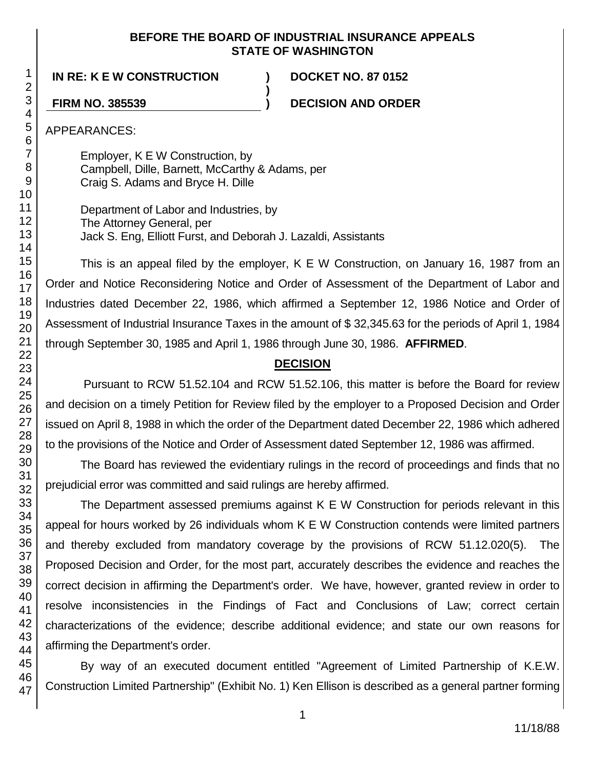### **BEFORE THE BOARD OF INDUSTRIAL INSURANCE APPEALS STATE OF WASHINGTON**

**)**

**IN RE: K E W CONSTRUCTION ) DOCKET NO. 87 0152**

**FIRM NO. 385539 ) DECISION AND ORDER**

APPEARANCES:

Employer, K E W Construction, by Campbell, Dille, Barnett, McCarthy & Adams, per Craig S. Adams and Bryce H. Dille

Department of Labor and Industries, by The Attorney General, per Jack S. Eng, Elliott Furst, and Deborah J. Lazaldi, Assistants

This is an appeal filed by the employer, K E W Construction, on January 16, 1987 from an Order and Notice Reconsidering Notice and Order of Assessment of the Department of Labor and Industries dated December 22, 1986, which affirmed a September 12, 1986 Notice and Order of Assessment of Industrial Insurance Taxes in the amount of \$ 32,345.63 for the periods of April 1, 1984 through September 30, 1985 and April 1, 1986 through June 30, 1986. **AFFIRMED**.

# **DECISION**

Pursuant to RCW 51.52.104 and RCW 51.52.106, this matter is before the Board for review and decision on a timely Petition for Review filed by the employer to a Proposed Decision and Order issued on April 8, 1988 in which the order of the Department dated December 22, 1986 which adhered to the provisions of the Notice and Order of Assessment dated September 12, 1986 was affirmed.

The Board has reviewed the evidentiary rulings in the record of proceedings and finds that no prejudicial error was committed and said rulings are hereby affirmed.

The Department assessed premiums against K E W Construction for periods relevant in this appeal for hours worked by 26 individuals whom K E W Construction contends were limited partners and thereby excluded from mandatory coverage by the provisions of RCW 51.12.020(5). The Proposed Decision and Order, for the most part, accurately describes the evidence and reaches the correct decision in affirming the Department's order. We have, however, granted review in order to resolve inconsistencies in the Findings of Fact and Conclusions of Law; correct certain characterizations of the evidence; describe additional evidence; and state our own reasons for affirming the Department's order.

By way of an executed document entitled "Agreement of Limited Partnership of K.E.W. Construction Limited Partnership" (Exhibit No. 1) Ken Ellison is described as a general partner forming

1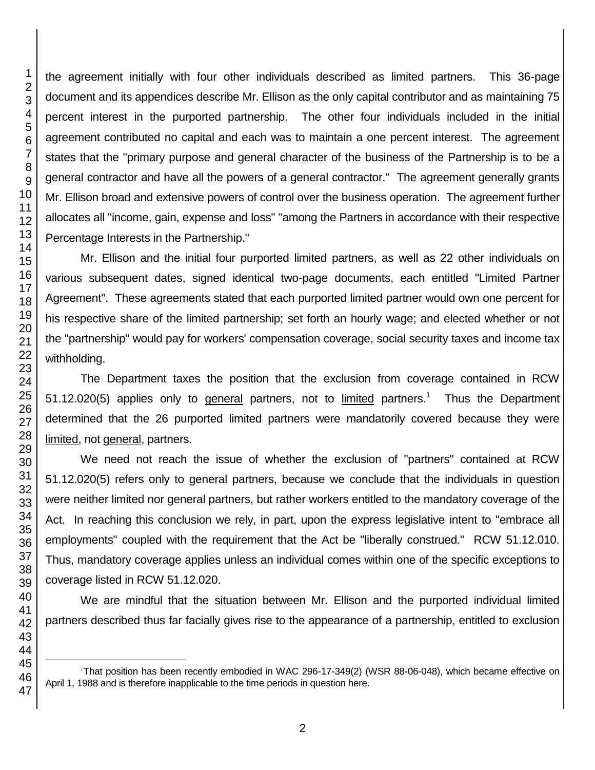the agreement initially with four other individuals described as limited partners. This 36-page document and its appendices describe Mr. Ellison as the only capital contributor and as maintaining 75 percent interest in the purported partnership. The other four individuals included in the initial agreement contributed no capital and each was to maintain a one percent interest. The agreement states that the "primary purpose and general character of the business of the Partnership is to be a general contractor and have all the powers of a general contractor." The agreement generally grants Mr. Ellison broad and extensive powers of control over the business operation. The agreement further allocates all "income, gain, expense and loss" "among the Partners in accordance with their respective Percentage Interests in the Partnership."

Mr. Ellison and the initial four purported limited partners, as well as 22 other individuals on various subsequent dates, signed identical two-page documents, each entitled "Limited Partner Agreement". These agreements stated that each purported limited partner would own one percent for his respective share of the limited partnership; set forth an hourly wage; and elected whether or not the "partnership" would pay for workers' compensation coverage, social security taxes and income tax withholding.

The Department taxes the position that the exclusion from coverage contained in RCW 51.12.020(5) applies only to general partners, not to limited partners.<sup>1</sup> Thus the Department determined that the 26 purported limited partners were mandatorily covered because they were limited, not general, partners.

We need not reach the issue of whether the exclusion of "partners" contained at RCW 51.12.020(5) refers only to general partners, because we conclude that the individuals in question were neither limited nor general partners, but rather workers entitled to the mandatory coverage of the Act. In reaching this conclusion we rely, in part, upon the express legislative intent to "embrace all employments" coupled with the requirement that the Act be "liberally construed." RCW 51.12.010. Thus, mandatory coverage applies unless an individual comes within one of the specific exceptions to coverage listed in RCW 51.12.020.

We are mindful that the situation between Mr. Ellison and the purported individual limited partners described thus far facially gives rise to the appearance of a partnership, entitled to exclusion

l

That position has been recently embodied in WAC 296-17-349(2) (WSR 88-06-048), which became effective on April 1, 1988 and is therefore inapplicable to the time periods in question here.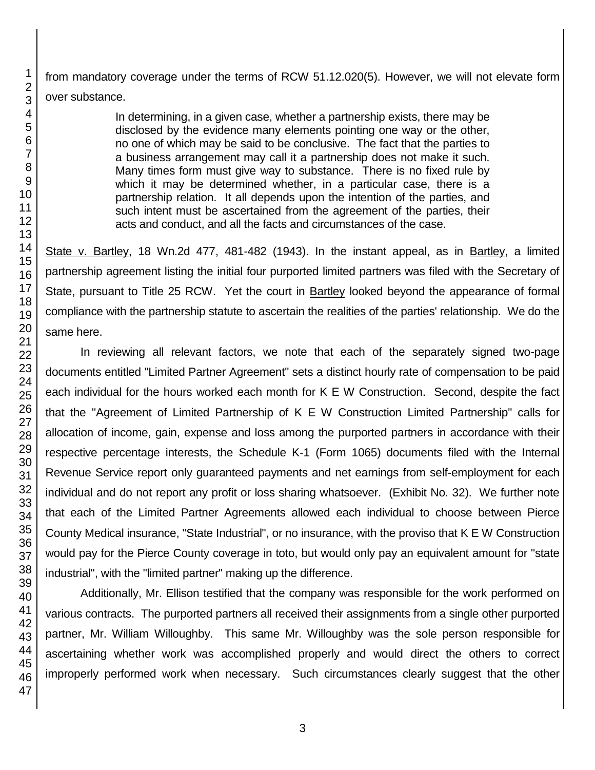from mandatory coverage under the terms of RCW 51.12.020(5). However, we will not elevate form over substance.

> In determining, in a given case, whether a partnership exists, there may be disclosed by the evidence many elements pointing one way or the other, no one of which may be said to be conclusive. The fact that the parties to a business arrangement may call it a partnership does not make it such. Many times form must give way to substance. There is no fixed rule by which it may be determined whether, in a particular case, there is a partnership relation. It all depends upon the intention of the parties, and such intent must be ascertained from the agreement of the parties, their acts and conduct, and all the facts and circumstances of the case.

State v. Bartley, 18 Wn.2d 477, 481-482 (1943). In the instant appeal, as in Bartley, a limited partnership agreement listing the initial four purported limited partners was filed with the Secretary of State, pursuant to Title 25 RCW. Yet the court in Bartley looked beyond the appearance of formal compliance with the partnership statute to ascertain the realities of the parties' relationship. We do the same here.

In reviewing all relevant factors, we note that each of the separately signed two-page documents entitled "Limited Partner Agreement" sets a distinct hourly rate of compensation to be paid each individual for the hours worked each month for K E W Construction. Second, despite the fact that the "Agreement of Limited Partnership of K E W Construction Limited Partnership" calls for allocation of income, gain, expense and loss among the purported partners in accordance with their respective percentage interests, the Schedule K-1 (Form 1065) documents filed with the Internal Revenue Service report only guaranteed payments and net earnings from self-employment for each individual and do not report any profit or loss sharing whatsoever. (Exhibit No. 32). We further note that each of the Limited Partner Agreements allowed each individual to choose between Pierce County Medical insurance, "State Industrial", or no insurance, with the proviso that K E W Construction would pay for the Pierce County coverage in toto, but would only pay an equivalent amount for "state industrial", with the "limited partner" making up the difference.

Additionally, Mr. Ellison testified that the company was responsible for the work performed on various contracts. The purported partners all received their assignments from a single other purported partner, Mr. William Willoughby. This same Mr. Willoughby was the sole person responsible for ascertaining whether work was accomplished properly and would direct the others to correct improperly performed work when necessary. Such circumstances clearly suggest that the other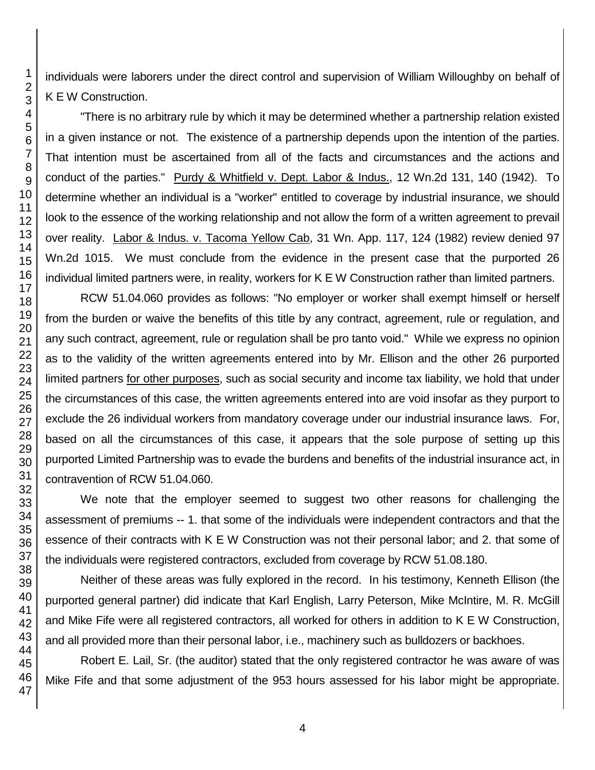individuals were laborers under the direct control and supervision of William Willoughby on behalf of K E W Construction.

"There is no arbitrary rule by which it may be determined whether a partnership relation existed in a given instance or not. The existence of a partnership depends upon the intention of the parties. That intention must be ascertained from all of the facts and circumstances and the actions and conduct of the parties." Purdy & Whitfield v. Dept. Labor & Indus., 12 Wn.2d 131, 140 (1942). To determine whether an individual is a "worker" entitled to coverage by industrial insurance, we should look to the essence of the working relationship and not allow the form of a written agreement to prevail over reality. Labor & Indus. v. Tacoma Yellow Cab, 31 Wn. App. 117, 124 (1982) review denied 97 Wn.2d 1015. We must conclude from the evidence in the present case that the purported 26 individual limited partners were, in reality, workers for K E W Construction rather than limited partners.

RCW 51.04.060 provides as follows: "No employer or worker shall exempt himself or herself from the burden or waive the benefits of this title by any contract, agreement, rule or regulation, and any such contract, agreement, rule or regulation shall be pro tanto void." While we express no opinion as to the validity of the written agreements entered into by Mr. Ellison and the other 26 purported limited partners for other purposes, such as social security and income tax liability, we hold that under the circumstances of this case, the written agreements entered into are void insofar as they purport to exclude the 26 individual workers from mandatory coverage under our industrial insurance laws. For, based on all the circumstances of this case, it appears that the sole purpose of setting up this purported Limited Partnership was to evade the burdens and benefits of the industrial insurance act, in contravention of RCW 51.04.060.

We note that the employer seemed to suggest two other reasons for challenging the assessment of premiums -- 1. that some of the individuals were independent contractors and that the essence of their contracts with K E W Construction was not their personal labor; and 2. that some of the individuals were registered contractors, excluded from coverage by RCW 51.08.180.

Neither of these areas was fully explored in the record. In his testimony, Kenneth Ellison (the purported general partner) did indicate that Karl English, Larry Peterson, Mike McIntire, M. R. McGill and Mike Fife were all registered contractors, all worked for others in addition to K E W Construction, and all provided more than their personal labor, i.e., machinery such as bulldozers or backhoes.

Robert E. Lail, Sr. (the auditor) stated that the only registered contractor he was aware of was Mike Fife and that some adjustment of the 953 hours assessed for his labor might be appropriate.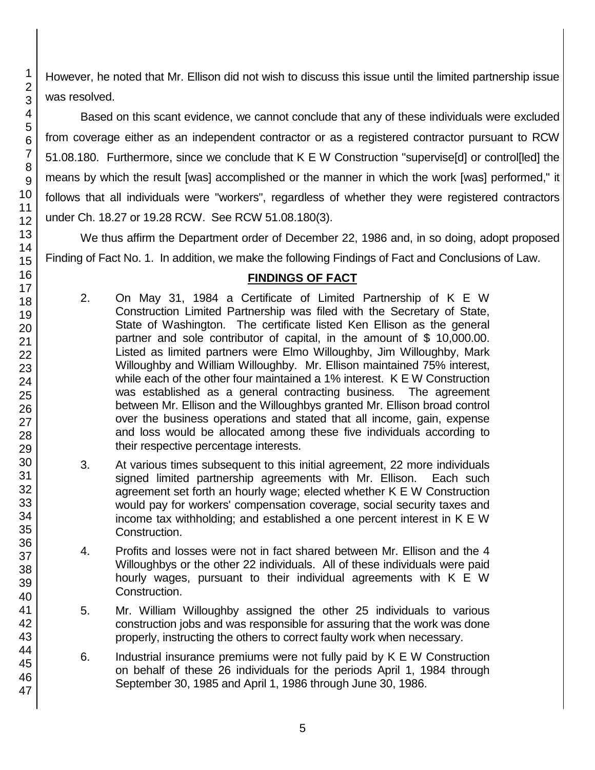However, he noted that Mr. Ellison did not wish to discuss this issue until the limited partnership issue was resolved.

Based on this scant evidence, we cannot conclude that any of these individuals were excluded from coverage either as an independent contractor or as a registered contractor pursuant to RCW 51.08.180. Furthermore, since we conclude that K E W Construction "supervise[d] or control[led] the means by which the result [was] accomplished or the manner in which the work [was] performed," it follows that all individuals were "workers", regardless of whether they were registered contractors under Ch. 18.27 or 19.28 RCW. See RCW 51.08.180(3).

We thus affirm the Department order of December 22, 1986 and, in so doing, adopt proposed Finding of Fact No. 1. In addition, we make the following Findings of Fact and Conclusions of Law.

# **FINDINGS OF FACT**

- 2. On May 31, 1984 a Certificate of Limited Partnership of K E W Construction Limited Partnership was filed with the Secretary of State, State of Washington. The certificate listed Ken Ellison as the general partner and sole contributor of capital, in the amount of \$ 10,000.00. Listed as limited partners were Elmo Willoughby, Jim Willoughby, Mark Willoughby and William Willoughby. Mr. Ellison maintained 75% interest, while each of the other four maintained a 1% interest. K E W Construction was established as a general contracting business. The agreement between Mr. Ellison and the Willoughbys granted Mr. Ellison broad control over the business operations and stated that all income, gain, expense and loss would be allocated among these five individuals according to their respective percentage interests.
- 3. At various times subsequent to this initial agreement, 22 more individuals signed limited partnership agreements with Mr. Ellison. Each such agreement set forth an hourly wage; elected whether K E W Construction would pay for workers' compensation coverage, social security taxes and income tax withholding; and established a one percent interest in K E W Construction.
- 4. Profits and losses were not in fact shared between Mr. Ellison and the 4 Willoughbys or the other 22 individuals. All of these individuals were paid hourly wages, pursuant to their individual agreements with K E W Construction.
- 5. Mr. William Willoughby assigned the other 25 individuals to various construction jobs and was responsible for assuring that the work was done properly, instructing the others to correct faulty work when necessary.
- 6. Industrial insurance premiums were not fully paid by K E W Construction on behalf of these 26 individuals for the periods April 1, 1984 through September 30, 1985 and April 1, 1986 through June 30, 1986.